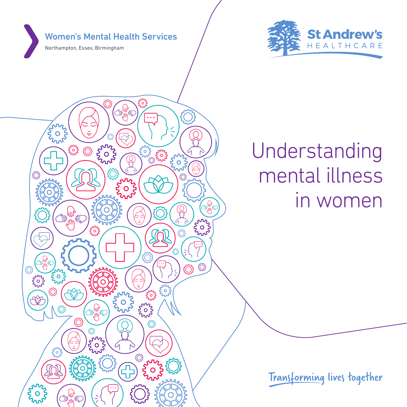Women's Mental Health Services

含 €

**ANNA** 

◯

**ANNA** 

**ANNAN** 

hour

´੩

**ANYAN** 

ᢅ᠄

snz<br>OS

**ANTANA** 

**ANA** 

**France** 

**Any** 

 $\widehat{O}$ 

**run**<br>S

 $\bigcirc$ 

**AUTE** .<br>€.

**ANTI** 

 $\bigodot$ ٦

**ANNA** 

Northampton, Essex, Birmingham

**Tury** 

{O

{Ö

**ANNA** 

**ANNA** 

**Sunt** 

<del>ৢ</del><br>ᡀ س<br>الله الله<br>الله

**ANNA** 

 $\sim$ 

ఆ €  $\begin{pmatrix} 1 \\ 1 \\ 2 \end{pmatrix}$ 



# Understanding mental illness in women

Transforming lives together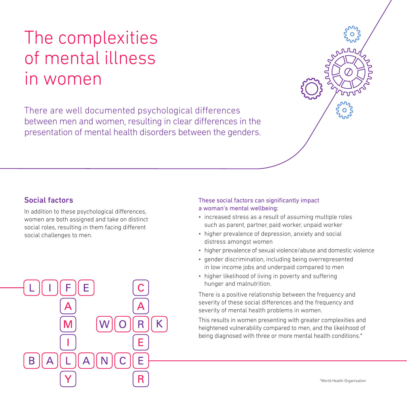## The complexities of mental illness in women

There are well documented psychological differences between men and women, resulting in clear differences in the presentation of mental health disorders between the genders.

#### Social factors

In addition to these psychological differences, women are both assigned and take on distinct social roles, resulting in them facing different social challenges to men.



#### These social factors can significantly impact a woman's mental wellbeing:

- increased stress as a result of assuming multiple roles such as parent, partner, paid worker, unpaid worker
- higher prevalence of depression, anxiety and social distress amongst women
- higher prevalence of sexual violence/abuse and domestic violence
- gender discrimination, including being overrepresented in low income jobs and underpaid compared to men
- higher likelihood of living in poverty and suffering hunger and malnutrition.

There is a positive relationship between the frequency and severity of these social differences and the frequency and severity of mental health problems in women.

This results in women presenting with greater complexities and heightened vulnerability compared to men, and the likelihood of being diagnosed with three or more mental health conditions.\*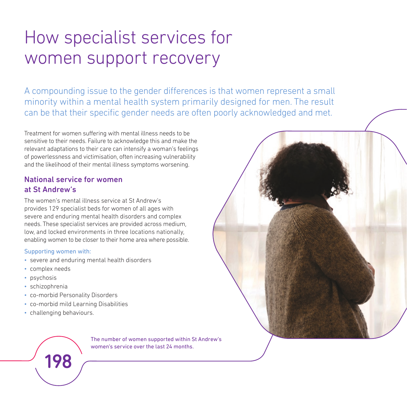## How specialist services for women support recovery

A compounding issue to the gender differences is that women represent a small minority within a mental health system primarily designed for men. The result can be that their specific gender needs are often poorly acknowledged and met.

Treatment for women suffering with mental illness needs to be sensitive to their needs. Failure to acknowledge this and make the relevant adaptations to their care can intensify a woman's feelings of powerlessness and victimisation, often increasing vulnerability and the likelihood of their mental illness symptoms worsening.

### National service for women at St Andrew's

The women's mental illness service at St Andrew's provides 129 specialist beds for women of all ages with severe and enduring mental health disorders and complex needs. These specialist services are provided across medium, low, and locked environments in three locations nationally, enabling women to be closer to their home area where possible.

#### Supporting women with:

- severe and enduring mental health disorders
- complex needs
- psychosis
- schizophrenia
- co-morbid Personality Disorders
- co-morbid mild Learning Disabilities
- challenging behaviours.

198

The number of women supported within St Andrew's women's service over the last 24 months.

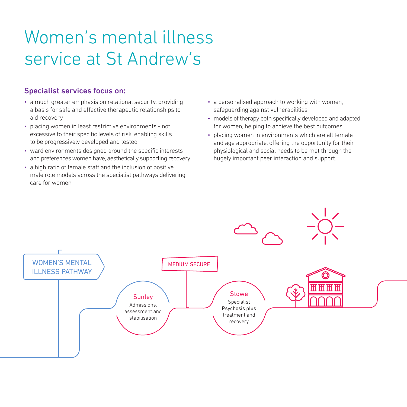## Women's mental illness service at St Andrew's

### Specialist services focus on:

- a much greater emphasis on relational security, providing a basis for safe and effective therapeutic relationships to aid recovery
- placing women in least restrictive environments not excessive to their specific levels of risk, enabling skills to be progressively developed and tested
- ward environments designed around the specific interests and preferences women have, aesthetically supporting recovery
- a high ratio of female staff and the inclusion of positive male role models across the specialist pathways delivering care for women
- a personalised approach to working with women, safeguarding against vulnerabilities
- models of therapy both specifically developed and adapted for women, helping to achieve the best outcomes
- placing women in environments which are all female and age appropriate, offering the opportunity for their physiological and social needs to be met through the hugely important peer interaction and support.

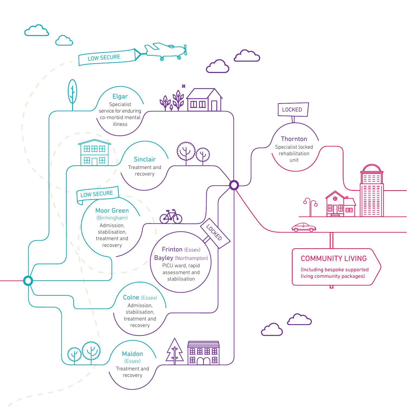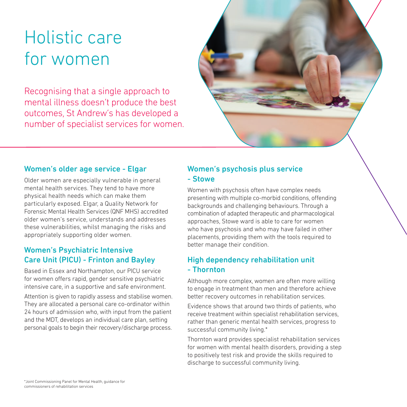## Holistic care for women

Recognising that a single approach to mental illness doesn't produce the best outcomes, St Andrew's has developed a number of specialist services for women.



#### Women's older age service - Elgar

Older women are especially vulnerable in general mental health services. They tend to have more physical health needs which can make them particularly exposed. Elgar, a Quality Network for Forensic Mental Health Services (QNF MHS) accredited older women's service, understands and addresses these vulnerabilities, whilst managing the risks and appropriately supporting older women.

### Women's Psychiatric Intensive Care Unit (PICU) - Frinton and Bayley

Based in Essex and Northampton, our PICU service for women offers rapid, gender sensitive psychiatric intensive care, in a supportive and safe environment.

Attention is given to rapidly assess and stabilise women. They are allocated a personal care co-ordinator within 24 hours of admission who, with input from the patient and the MDT, develops an individual care plan, setting personal goals to begin their recovery/discharge process.

### Women's psychosis plus service - Stowe

Women with psychosis often have complex needs presenting with multiple co-morbid conditions, offending backgrounds and challenging behaviours. Through a combination of adapted therapeutic and pharmacological approaches, Stowe ward is able to care for women who have psychosis and who may have failed in other placements, providing them with the tools required to better manage their condition.

### High dependency rehabilitation unit - Thornton

Although more complex, women are often more willing to engage in treatment than men and therefore achieve better recovery outcomes in rehabilitation services.

Evidence shows that around two thirds of patients, who receive treatment within specialist rehabilitation services, rather than generic mental health services, progress to successful community living.\*

Thornton ward provides specialist rehabilitation services for women with mental health disorders, providing a step to positively test risk and provide the skills required to discharge to successful community living.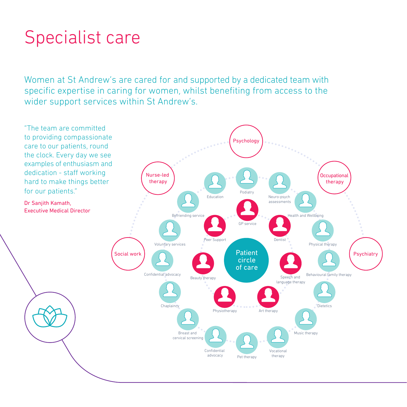## Specialist care

Women at St Andrew's are cared for and supported by a dedicated team with specific expertise in caring for women, whilst benefiting from access to the wider support services within St Andrew's.

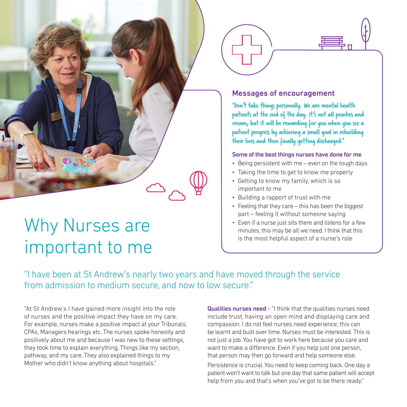### Messages of encouragement

'Don't take things personally. We are mental health patients at the end of the day. It's not all peaches and cream, but it will be rewarding for you when you see a patient progress by achieving a small goal in rebuilding their lives and then finally getting discharged.'

#### Some of the best things nurses have done for me

- Being persistent with me even on the tough days
- Taking the time to get to know me properly
- Getting to know my family, which is so important to me
- Building a rapport of trust with me
- Feeling that they care this has been the biggest part – feeling it without someone saying
- Even if a nurse just sits there and listens for a few minutes, this may be all we need. I think that this is the most helpful aspect of a nurse's role

"I have been at St Andrew's nearly two years and have moved through the service from admission to medium secure, and now to low secure."

"At St Andrew's I have gained more insight into the role of nurses and the positive impact they have on my care. For example, nurses make a positive impact at your Tribunals, CPAs, Managers hearings etc. The nurses spoke honestly and positively about me and because I was new to these settings, they took time to explain everything. Things like my section, pathway, and my care. They also explained things to my Mother who didn't know anything about hospitals."

Why Nurses are

important to me

Qualities nurses need - "I think that the qualities nurses need include trust, having an open mind and displaying care and compassion. I do not feel nurses need experience; this can be learnt and built over time. Nurses must be interested. This is not just a job. You have got to work here because you care and want to make a difference. Even if you help just one person, that person may then go forward and help someone else.

Persistence is crucial. You need to keep coming back. One day a patient won't want to talk but one day that same patient will accept help from you and that's when you've got to be there ready."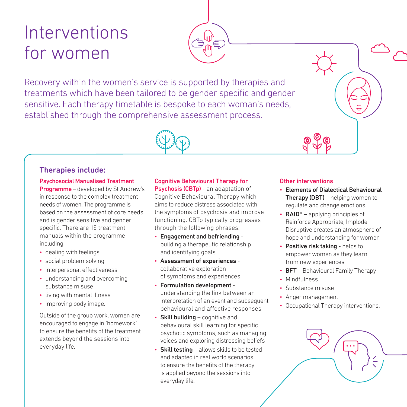## Interventions for women

Recovery within the women's service is supported by therapies and treatments which have been tailored to be gender specific and gender sensitive. Each therapy timetable is bespoke to each woman's needs, established through the comprehensive assessment process.

#### Therapies include:

#### Psychosocial Manualised Treatment Programme – developed by St Andrew's in response to the complex treatment needs of women. The programme is based on the assessment of core needs and is gender sensitive and gender specific. There are 15 treatment manuals within the programme including:

- dealing with feelings
- social problem solving
- interpersonal effectiveness
- understanding and overcoming substance misuse
- living with mental illness
- improving body image.

Outside of the group work, women are encouraged to engage in 'homework' to ensure the benefits of the treatment extends beyond the sessions into everyday life.

#### Cognitive Behavioural Therapy for

Psychosis (CBTp) - an adaptation of Cognitive Behavioural Therapy which aims to reduce distress associated with the symptoms of psychosis and improve functioning. CBTp typically progresses through the following phrases:

- Engagement and befriending building a therapeutic relationship and identifying goals
- Assessment of experiences collaborative exploration of symptoms and experiences
- Formulation development understanding the link between an interpretation of an event and subsequent behavioural and affective responses
- $\cdot$  Skill building cognitive and behavioural skill learning for specific psychotic symptoms, such as managing voices and exploring distressing beliefs
- Skill testing allows skills to be tested and adapted in real world scenarios to ensure the benefits of the therapy is applied beyond the sessions into everyday life.

#### Other interventions

- Elements of Dialectical Behavioural **Therapy (DBT)** – helping women to regulate and change emotions
- $RAID<sup>®</sup>$  applying principles of Reinforce Appropriate, Implode Disruptive creates an atmosphere of hope and understanding for women
- Positive risk taking helps to empower women as they learn from new experiences
- **BFT** Behavioural Family Therapy
- Mindfulness
- Substance misuse
- Anger management
- Occupational Therapy interventions.

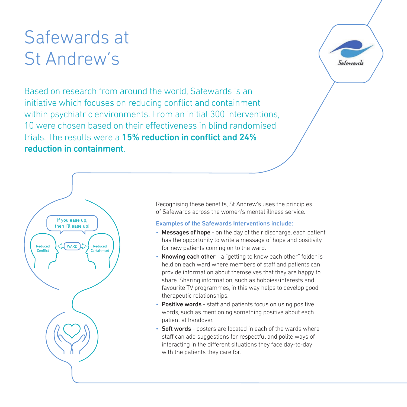## Safewards at St Andrew's

Based on research from around the world, Safewards is an initiative which focuses on reducing conflict and containment within psychiatric environments. From an initial 300 interventions, 10 were chosen based on their effectiveness in blind randomised trials. The results were a 15% reduction in conflict and 24% reduction in containment.





Recognising these benefits, St Andrew's uses the principles of Safewards across the women's mental illness service.

#### Examples of the Safewards Interventions include:

- Messages of hope on the day of their discharge, each patient has the opportunity to write a message of hope and positivity for new patients coming on to the ward.
- Knowing each other a "getting to know each other" folder is held on each ward where members of staff and patients can provide information about themselves that they are happy to share. Sharing information, such as hobbies/interests and favourite TV programmes, in this way helps to develop good therapeutic relationships.
- Positive words staff and patients focus on using positive words, such as mentioning something positive about each patient at handover.
- Soft words posters are located in each of the wards where staff can add suggestions for respectful and polite ways of interacting in the different situations they face day-to-day with the patients they care for.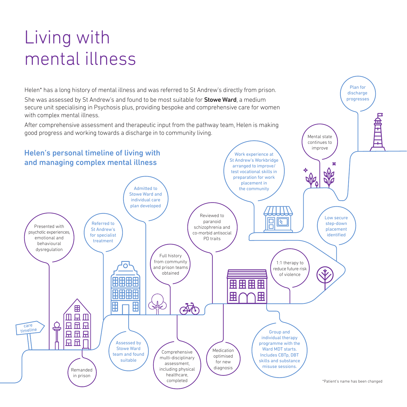## Living with mental illness

Helen\* has a long history of mental illness and was referred to St Andrew's directly from prison.

She was assessed by St Andrew's and found to be most suitable for **Stowe Ward**, a medium secure unit specialising in Psychosis plus, providing bespoke and comprehensive care for women with complex mental illness.

After comprehensive assessment and therapeutic input from the pathway team, Helen is making good progress and working towards a discharge in to community living.



Plan for discharge progresses